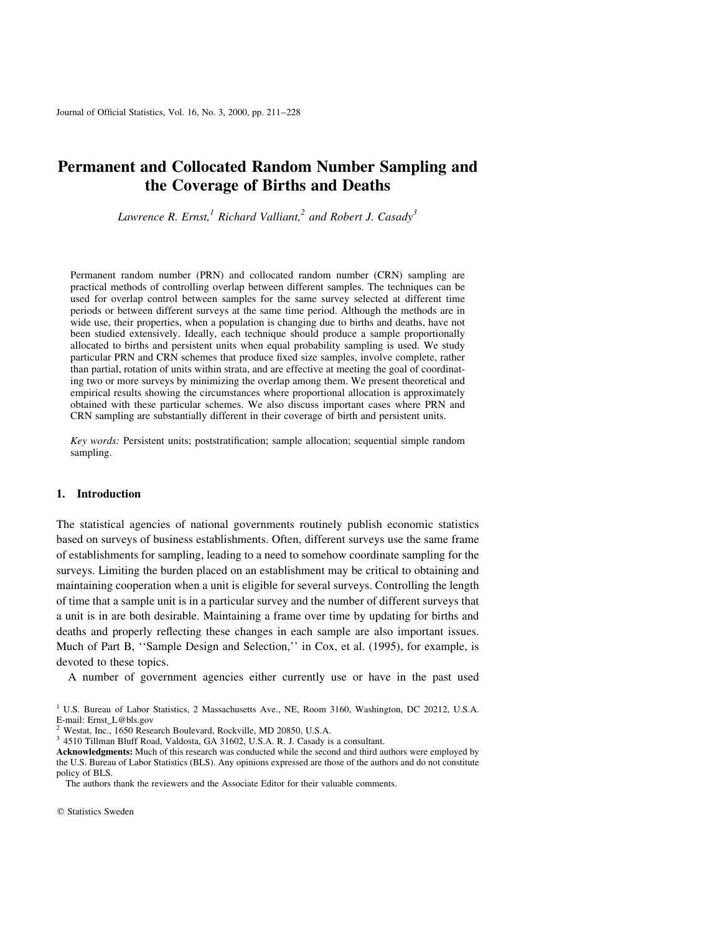# **Permanent and Collocated Random Number Sampling and** the Coverage of Births and Deaths

Lawrence R. Ernst,<sup>1</sup> Richard Valliant,<sup>2</sup> and Robert J. Casady<sup>3</sup>

Permanent random number (PRN) and collocated random number (CRN) sampling are practical methods of controlling overlap between different samples. The techniques can be used for overlap control between samples for the same survey selected at different time periods or between different surveys at the same time period. Although the methods are in wide use, their properties, when a population is changing due to births and deaths, have not been studied extensively. Ideally, each technique should produce a sample proportionally allocated to births and persistent units when equal probability sampling is used. We study particular PRN and CRN schemes that produce fixed size samples, involve complete, rather than partial, rotation of units within strata, and are effective at meeting the goal of coordinating two or more surveys by minimizing the overlap among them. We present theoretical and empirical results showing the circumstances where proportional allocation is approximately obtained with these particular schemes. We also discuss important cases where PRN and CRN sampling are substantially different in their coverage of birth and persistent units.

Key words: Persistent units; poststratification; sample allocation; sequential simple random sampling.

### 1. Introduction

The statistical agencies of national governments routinely publish economic statistics based on surveys of business establishments. Often, different surveys use the same frame of establishments for sampling, leading to a need to somehow coordinate sampling for the surveys. Limiting the burden placed on an establishment may be critical to obtaining and maintaining cooperation when a unit is eligible for several surveys. Controlling the length of time that a sample unit is in a particular survey and the number of different surveys that a unit is in are both desirable. Maintaining a frame over time by updating for births and deaths and properly reflecting these changes in each sample are also important issues. Much of Part B, "Sample Design and Selection," in Cox, et al. (1995), for example, is devoted to these topics.

A number of government agencies either currently use or have in the past used

The authors thank the reviewers and the Associate Editor for their valuable comments.

<sup>&</sup>lt;sup>1</sup> U.S. Bureau of Labor Statistics, 2 Massachusetts Ave., NE, Room 3160, Washington, DC 20212, U.S.A. E-mail: Ernst\_L@bls.gov

<sup>&</sup>lt;sup>2</sup> Westat, Inc., 1650 Research Boulevard, Rockville, MD 20850, U.S.A.

<sup>&</sup>lt;sup>3</sup> 4510 Tillman Bluff Road, Valdosta, GA 31602, U.S.A. R. J. Casady is a consultant.

Acknowledgments: Much of this research was conducted while the second and third authors were employed by the U.S. Bureau of Labor Statistics (BLS). Any opinions expressed are those of the authors and do not constitute policy of BLS.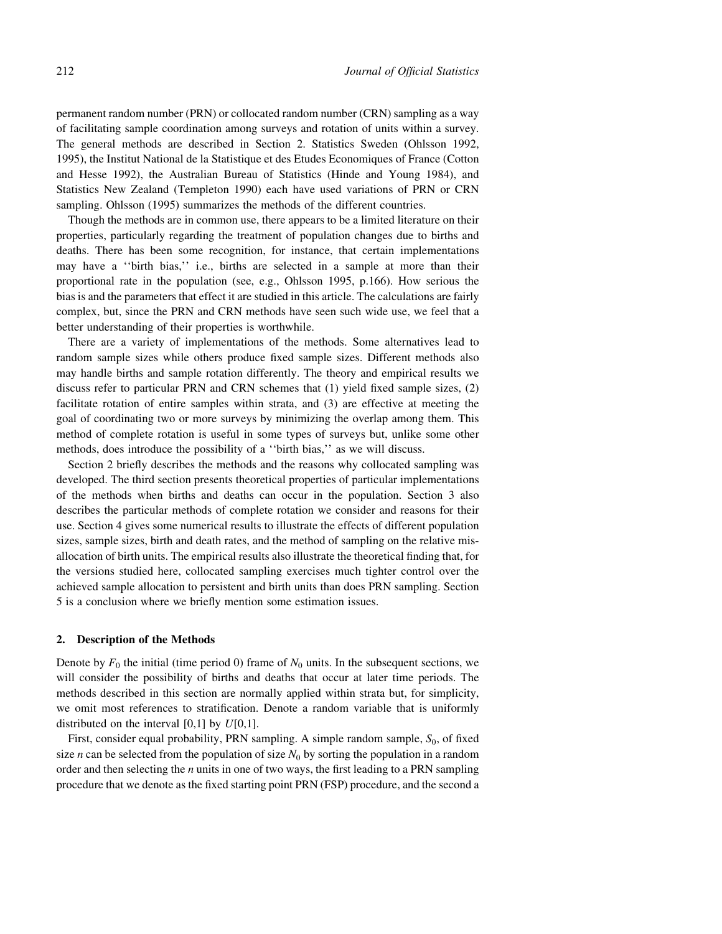permanent random number (PRN) or collocated random number (CRN) sampling as a way of facilitating sample coordination among surveys and rotation of units within a survey. The general methods are described in Section 2. Statistics Sweden (Ohlsson 1992, 1995), the Institut National de la Statistique et des Etudes Economiques of France (Cotton and Hesse 1992), the Australian Bureau of Statistics (Hinde and Young 1984), and Statistics New Zealand (Templeton 1990) each have used variations of PRN or CRN sampling. Ohlsson (1995) summarizes the methods of the different countries.

Though the methods are in common use, there appears to be a limited literature on their properties, particularly regarding the treatment of population changes due to births and deaths. There has been some recognition, for instance, that certain implementations may have a "birth bias," i.e., births are selected in a sample at more than their proportional rate in the population (see, e.g., Ohlsson 1995, p.166). How serious the bias is and the parameters that effect it are studied in this article. The calculations are fairly complex, but, since the PRN and CRN methods have seen such wide use, we feel that a better understanding of their properties is worthwhile.

There are a variety of implementations of the methods. Some alternatives lead to random sample sizes while others produce fixed sample sizes. Different methods also may handle births and sample rotation differently. The theory and empirical results we discuss refer to particular PRN and CRN schemes that (1) yield fixed sample sizes, (2) facilitate rotation of entire samples within strata, and (3) are effective at meeting the goal of coordinating two or more surveys by minimizing the overlap among them. This method of complete rotation is useful in some types of surveys but, unlike some other methods, does introduce the possibility of a "birth bias," as we will discuss.

Section 2 briefly describes the methods and the reasons why collocated sampling was developed. The third section presents theoretical properties of particular implementations of the methods when births and deaths can occur in the population. Section 3 also describes the particular methods of complete rotation we consider and reasons for their use. Section 4 gives some numerical results to illustrate the effects of different population sizes, sample sizes, birth and death rates, and the method of sampling on the relative misallocation of birth units. The empirical results also illustrate the theoretical finding that, for the versions studied here, collocated sampling exercises much tighter control over the achieved sample allocation to persistent and birth units than does PRN sampling. Section 5 is a conclusion where we briefly mention some estimation issues.

### 2. Description of the Methods

Denote by  $F_0$  the initial (time period 0) frame of  $N_0$  units. In the subsequent sections, we will consider the possibility of births and deaths that occur at later time periods. The methods described in this section are normally applied within strata but, for simplicity, we omit most references to stratification. Denote a random variable that is uniformly distributed on the interval  $[0,1]$  by  $U[0,1]$ .

First, consider equal probability, PRN sampling. A simple random sample,  $S_0$ , of fixed size *n* can be selected from the population of size  $N_0$  by sorting the population in a random order and then selecting the  $n$  units in one of two ways, the first leading to a PRN sampling procedure that we denote as the fixed starting point PRN (FSP) procedure, and the second a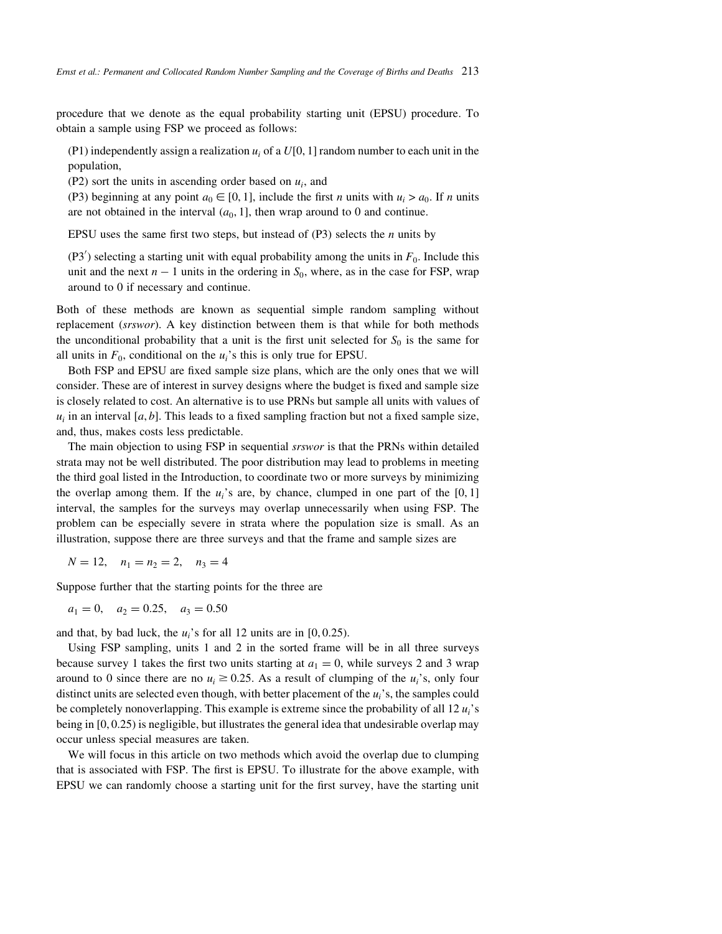procedure that we denote as the equal probability starting unit (EPSU) procedure. To obtain a sample using FSP we proceed as follows:

(P1) independently assign a realization  $u_i$  of a  $U[0, 1]$  random number to each unit in the population,

 $(P2)$  sort the units in ascending order based on  $u_i$ , and

(P3) beginning at any point  $a_0 \in [0, 1]$ , include the first *n* units with  $u_i > a_0$ . If *n* units are not obtained in the interval  $(a_0, 1]$ , then wrap around to 0 and continue.

EPSU uses the same first two steps, but instead of  $(P3)$  selects the *n* units by

 $(P3')$  selecting a starting unit with equal probability among the units in  $F_0$ . Include this unit and the next  $n-1$  units in the ordering in  $S_0$ , where, as in the case for FSP, wrap around to 0 if necessary and continue.

Both of these methods are known as sequential simple random sampling without replacement (srswor). A key distinction between them is that while for both methods the unconditional probability that a unit is the first unit selected for  $S_0$  is the same for all units in  $F_0$ , conditional on the  $u_i$ 's this is only true for EPSU.

Both FSP and EPSU are fixed sample size plans, which are the only ones that we will consider. These are of interest in survey designs where the budget is fixed and sample size is closely related to cost. An alternative is to use PRNs but sample all units with values of  $u_i$  in an interval [a, b]. This leads to a fixed sampling fraction but not a fixed sample size, and, thus, makes costs less predictable.

The main objection to using FSP in sequential *srswor* is that the PRNs within detailed strata may not be well distributed. The poor distribution may lead to problems in meeting the third goal listed in the Introduction, to coordinate two or more surveys by minimizing the overlap among them. If the  $u_i$ 's are, by chance, clumped in one part of the [0, 1] interval, the samples for the surveys may overlap unnecessarily when using FSP. The problem can be especially severe in strata where the population size is small. As an illustration, suppose there are three surveys and that the frame and sample sizes are

 $N = 12$ ,  $n_1 = n_2 = 2$ ,  $n_3 = 4$ 

Suppose further that the starting points for the three are

$$
a_1 = 0
$$
,  $a_2 = 0.25$ ,  $a_3 = 0.50$ 

and that, by bad luck, the  $u_i$ 's for all 12 units are in [0, 0.25).

Using FSP sampling, units 1 and 2 in the sorted frame will be in all three surveys because survey 1 takes the first two units starting at  $a_1 = 0$ , while surveys 2 and 3 wrap around to 0 since there are no  $u_i \ge 0.25$ . As a result of clumping of the  $u_i$ 's, only four distinct units are selected even though, with better placement of the  $u_i$ 's, the samples could be completely nonoverlapping. This example is extreme since the probability of all 12  $u_i$ 's being in  $[0, 0.25)$  is negligible, but illustrates the general idea that undesirable overlap may occur unless special measures are taken.

We will focus in this article on two methods which avoid the overlap due to clumping that is associated with FSP. The first is EPSU. To illustrate for the above example, with EPSU we can randomly choose a starting unit for the first survey, have the starting unit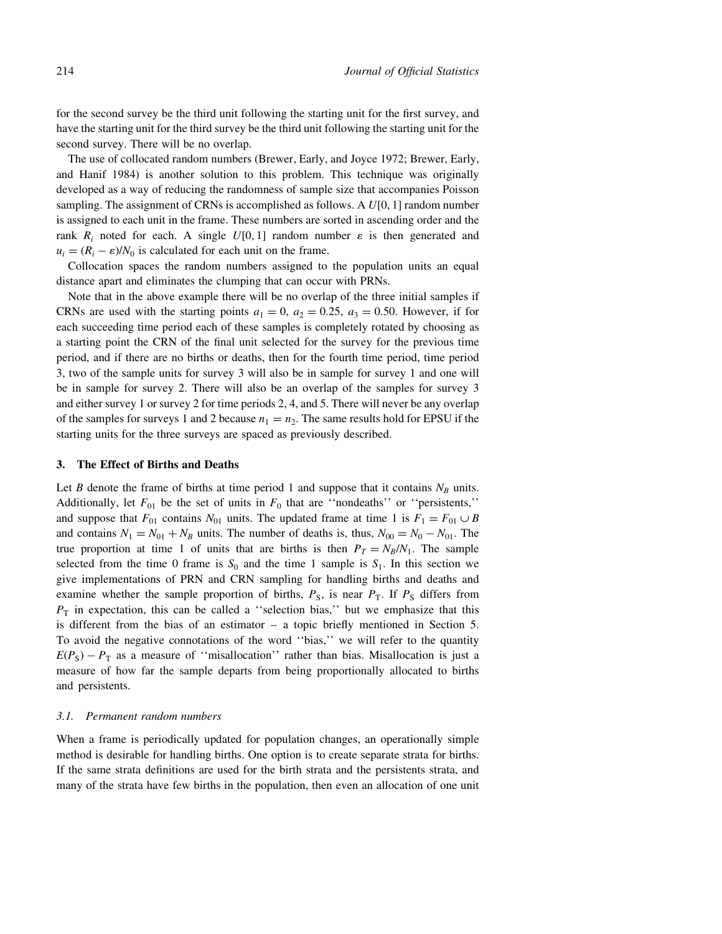for the second survey be the third unit following the starting unit for the first survey, and have the starting unit for the third survey be the third unit following the starting unit for the second survey. There will be no overlap.

The use of collocated random numbers (Brewer, Early, and Joyce 1972; Brewer, Early, and Hanif 1984) is another solution to this problem. This technique was originally developed as a way of reducing the randomness of sample size that accompanies Poisson sampling. The assignment of CRNs is accomplished as follows. A  $U[0, 1]$  random number is assigned to each unit in the frame. These numbers are sorted in ascending order and the rank  $R_i$  noted for each. A single  $U[0,1]$  random number  $\varepsilon$  is then generated and  $u_i = (R_i - \varepsilon)/N_0$  is calculated for each unit on the frame.

Collocation spaces the random numbers assigned to the population units an equal distance apart and eliminates the clumping that can occur with PRNs.

Note that in the above example there will be no overlap of the three initial samples if CRNs are used with the starting points  $a_1 = 0$ ,  $a_2 = 0.25$ ,  $a_3 = 0.50$ . However, if for each succeeding time period each of these samples is completely rotated by choosing as a starting point the CRN of the final unit selected for the survey for the previous time period, and if there are no births or deaths, then for the fourth time period, time period 3, two of the sample units for survey 3 will also be in sample for survey 1 and one will be in sample for survey 2. There will also be an overlap of the samples for survey 3 and either survey 1 or survey 2 for time periods 2, 4, and 5. There will never be any overlap of the samples for surveys 1 and 2 because  $n_1 = n_2$ . The same results hold for EPSU if the starting units for the three surveys are spaced as previously described.

### 3. The Effect of Births and Deaths

Let B denote the frame of births at time period 1 and suppose that it contains  $N_B$  units. Additionally, let  $F_{01}$  be the set of units in  $F_0$  that are "nondeaths" or "persistents," and suppose that  $F_{01}$  contains  $N_{01}$  units. The updated frame at time 1 is  $F_1 = F_{01} \cup B$ and contains  $N_1 = N_{01} + N_B$  units. The number of deaths is, thus,  $N_{00} = N_0 - N_{01}$ . The true proportion at time 1 of units that are births is then  $P_T = N_B/N_1$ . The sample selected from the time 0 frame is  $S_0$  and the time 1 sample is  $S_1$ . In this section we give implementations of PRN and CRN sampling for handling births and deaths and examine whether the sample proportion of births,  $P_s$ , is near  $P_T$ . If  $P_s$  differs from  $P_{\rm T}$  in expectation, this can be called a "selection bias," but we emphasize that this is different from the bias of an estimator  $-$  a topic briefly mentioned in Section 5. To avoid the negative connotations of the word "bias," we will refer to the quantity  $E(P<sub>S</sub>) - P<sub>T</sub>$  as a measure of "misallocation" rather than bias. Misallocation is just a measure of how far the sample departs from being proportionally allocated to births and persistents.

### 3.1. Permanent random numbers

When a frame is periodically updated for population changes, an operationally simple method is desirable for handling births. One option is to create separate strata for births. If the same strata definitions are used for the birth strata and the persistents strata, and many of the strata have few births in the population, then even an allocation of one unit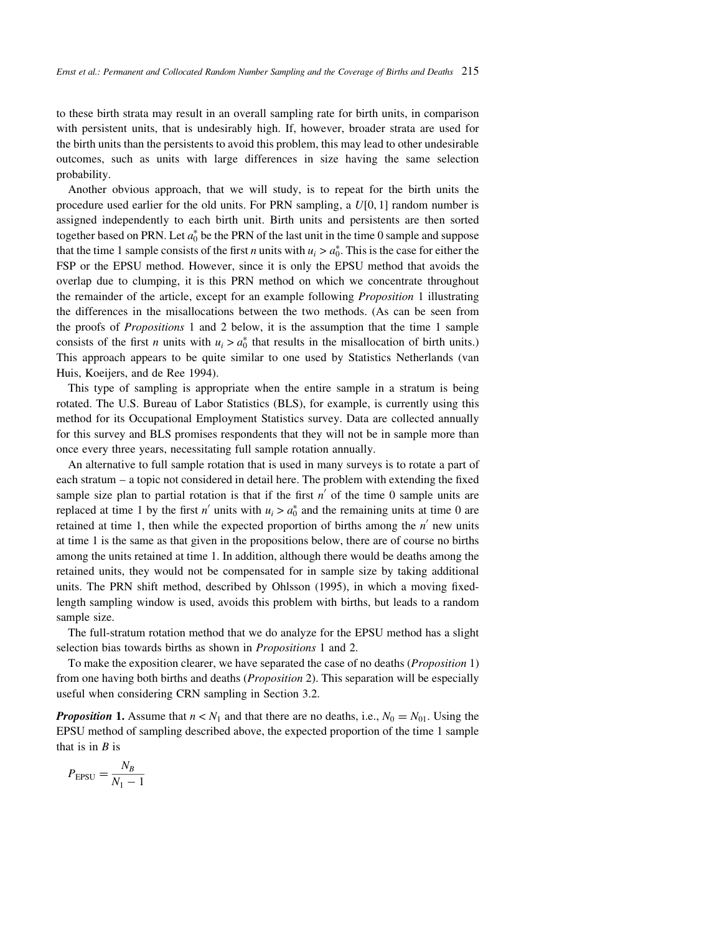to these birth strata may result in an overall sampling rate for birth units, in comparison with persistent units, that is undesirably high. If, however, broader strata are used for the birth units than the persistents to avoid this problem, this may lead to other undesirable outcomes, such as units with large differences in size having the same selection probability.

Another obvious approach, that we will study, is to repeat for the birth units the procedure used earlier for the old units. For PRN sampling, a  $U[0, 1]$  random number is assigned independently to each birth unit. Birth units and persistents are then sorted together based on PRN. Let  $a_0^*$  be the PRN of the last unit in the time 0 sample and suppose that the time 1 sample consists of the first *n* units with  $u_i > a_0^*$ . This is the case for either the FSP or the EPSU method. However, since it is only the EPSU method that avoids the overlap due to clumping, it is this PRN method on which we concentrate throughout the remainder of the article, except for an example following *Proposition* 1 illustrating the differences in the misallocations between the two methods. (As can be seen from the proofs of *Propositions* 1 and 2 below, it is the assumption that the time 1 sample consists of the first *n* units with  $u_i > a_0^*$  that results in the misallocation of birth units.) This approach appears to be quite similar to one used by Statistics Netherlands (van Huis, Koeijers, and de Ree 1994).

This type of sampling is appropriate when the entire sample in a stratum is being rotated. The U.S. Bureau of Labor Statistics (BLS), for example, is currently using this method for its Occupational Employment Statistics survey. Data are collected annually for this survey and BLS promises respondents that they will not be in sample more than once every three years, necessitating full sample rotation annually.

An alternative to full sample rotation that is used in many surveys is to rotate a part of each stratum – a topic not considered in detail here. The problem with extending the fixed sample size plan to partial rotation is that if the first  $n'$  of the time 0 sample units are replaced at time 1 by the first n' units with  $u_i > a_0^*$  and the remaining units at time 0 are retained at time 1, then while the expected proportion of births among the  $n'$  new units at time 1 is the same as that given in the propositions below, there are of course no births among the units retained at time 1. In addition, although there would be deaths among the retained units, they would not be compensated for in sample size by taking additional units. The PRN shift method, described by Ohlsson (1995), in which a moving fixedlength sampling window is used, avoids this problem with births, but leads to a random sample size.

The full-stratum rotation method that we do analyze for the EPSU method has a slight selection bias towards births as shown in *Propositions* 1 and 2.

To make the exposition clearer, we have separated the case of no deaths (*Proposition* 1) from one having both births and deaths (*Proposition 2*). This separation will be especially useful when considering CRN sampling in Section 3.2.

**Proposition 1.** Assume that  $n < N_1$  and that there are no deaths, i.e.,  $N_0 = N_{01}$ . Using the EPSU method of sampling described above, the expected proportion of the time 1 sample that is in  $B$  is

$$
P_{\text{EPSU}} = \frac{N_B}{N_1 - 1}
$$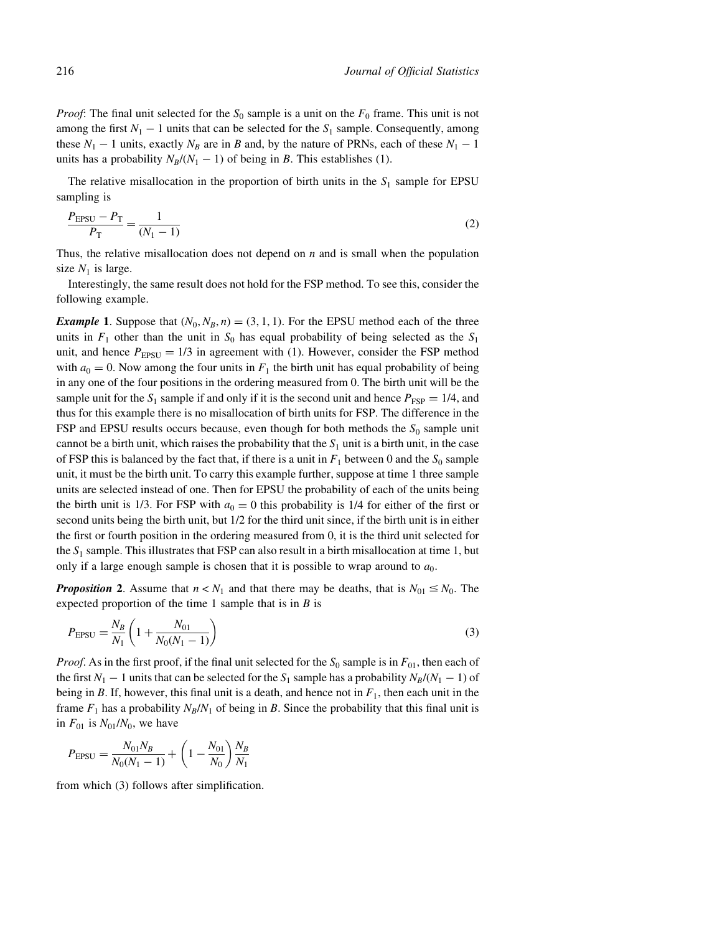*Proof:* The final unit selected for the  $S_0$  sample is a unit on the  $F_0$  frame. This unit is not among the first  $N_1 - 1$  units that can be selected for the  $S_1$  sample. Consequently, among these  $N_1 - 1$  units, exactly  $N_B$  are in B and, by the nature of PRNs, each of these  $N_1 - 1$ units has a probability  $N_B/(N_1 - 1)$  of being in B. This establishes (1).

The relative misallocation in the proportion of birth units in the  $S_1$  sample for EPSU sampling is

$$
\frac{P_{\text{EPSU}} - P_{\text{T}}}{P_{\text{T}}} = \frac{1}{(N_1 - 1)}
$$
(2)

Thus, the relative misallocation does not depend on  $n$  and is small when the population size  $N_1$  is large.

Interestingly, the same result does not hold for the FSP method. To see this, consider the following example.

*Example* 1. Suppose that  $(N_0, N_B, n) = (3, 1, 1)$ . For the EPSU method each of the three units in  $F_1$  other than the unit in  $S_0$  has equal probability of being selected as the  $S_1$ unit, and hence  $P_{\text{EPSU}} = 1/3$  in agreement with (1). However, consider the FSP method with  $a_0 = 0$ . Now among the four units in  $F_1$  the birth unit has equal probability of being in any one of the four positions in the ordering measured from 0. The birth unit will be the sample unit for the S<sub>1</sub> sample if and only if it is the second unit and hence  $P_{\text{FSP}} = 1/4$ , and thus for this example there is no misallocation of birth units for FSP. The difference in the FSP and EPSU results occurs because, even though for both methods the  $S_0$  sample unit cannot be a birth unit, which raises the probability that the  $S_1$  unit is a birth unit, in the case of FSP this is balanced by the fact that, if there is a unit in  $F_1$  between 0 and the  $S_0$  sample unit, it must be the birth unit. To carry this example further, suppose at time 1 three sample units are selected instead of one. Then for EPSU the probability of each of the units being the birth unit is 1/3. For FSP with  $a_0 = 0$  this probability is 1/4 for either of the first or second units being the birth unit, but 1/2 for the third unit since, if the birth unit is in either the first or fourth position in the ordering measured from 0, it is the third unit selected for the  $S_1$  sample. This illustrates that FSP can also result in a birth misallocation at time 1, but only if a large enough sample is chosen that it is possible to wrap around to  $a_0$ .

**Proposition 2.** Assume that  $n < N_1$  and that there may be deaths, that is  $N_{01} \leq N_0$ . The expected proportion of the time 1 sample that is in  $B$  is

$$
P_{\rm EPSU} = \frac{N_B}{N_1} \left( 1 + \frac{N_{01}}{N_0 (N_1 - 1)} \right) \tag{3}
$$

*Proof.* As in the first proof, if the final unit selected for the  $S_0$  sample is in  $F_{01}$ , then each of the first  $N_1 - 1$  units that can be selected for the  $S_1$  sample has a probability  $N_B/(N_1 - 1)$  of being in B. If, however, this final unit is a death, and hence not in  $F_1$ , then each unit in the frame  $F_1$  has a probability  $N_B/N_1$  of being in B. Since the probability that this final unit is in  $F_{01}$  is  $N_{01}/N_0$ , we have

$$
P_{\text{EPSU}} = \frac{N_{01}N_B}{N_0(N_1 - 1)} + \left(1 - \frac{N_{01}}{N_0}\right)\frac{N_B}{N_1}
$$

from which (3) follows after simplification.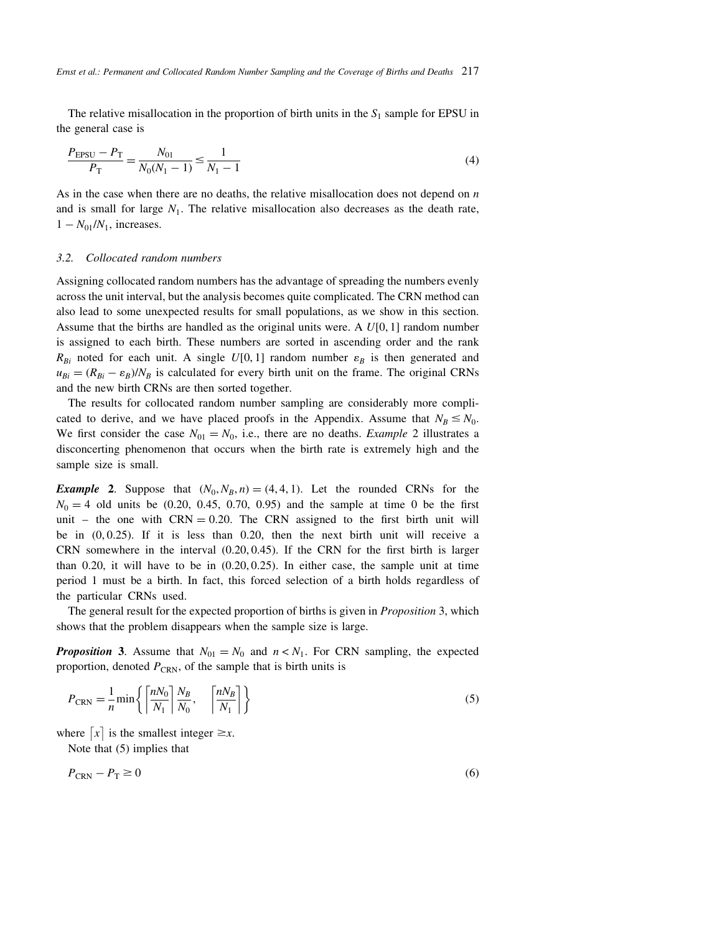The relative misallocation in the proportion of birth units in the  $S_1$  sample for EPSU in the general case is

$$
\frac{P_{\text{EPSU}} - P_{\text{T}}}{P_{\text{T}}} = \frac{N_{01}}{N_0 (N_1 - 1)} \le \frac{1}{N_1 - 1} \tag{4}
$$

As in the case when there are no deaths, the relative misallocation does not depend on  $n$ and is small for large  $N_1$ . The relative misallocation also decreases as the death rate,  $1 - N_{01}/N_1$ , increases.

#### $3.2.$ Collocated random numbers

Assigning collocated random numbers has the advantage of spreading the numbers evenly across the unit interval, but the analysis becomes quite complicated. The CRN method can also lead to some unexpected results for small populations, as we show in this section. Assume that the births are handled as the original units were. A  $U[0, 1]$  random number is assigned to each birth. These numbers are sorted in ascending order and the rank  $R_{Bi}$  noted for each unit. A single  $U[0, 1]$  random number  $\varepsilon_B$  is then generated and  $u_{Bi} = (R_{Bi} - \varepsilon_B)/N_B$  is calculated for every birth unit on the frame. The original CRNs and the new birth CRNs are then sorted together.

The results for collocated random number sampling are considerably more complicated to derive, and we have placed proofs in the Appendix. Assume that  $N_B \le N_0$ . We first consider the case  $N_{01} = N_0$ , i.e., there are no deaths. *Example* 2 illustrates a disconcerting phenomenon that occurs when the birth rate is extremely high and the sample size is small.

*Example* 2. Suppose that  $(N_0, N_B, n) = (4, 4, 1)$ . Let the rounded CRNs for the  $N_0 = 4$  old units be (0.20, 0.45, 0.70, 0.95) and the sample at time 0 be the first unit – the one with  $CRN = 0.20$ . The CRN assigned to the first birth unit will be in  $(0, 0.25)$ . If it is less than 0.20, then the next birth unit will receive a CRN somewhere in the interval  $(0.20, 0.45)$ . If the CRN for the first birth is larger than 0.20, it will have to be in  $(0.20, 0.25)$ . In either case, the sample unit at time period 1 must be a birth. In fact, this forced selection of a birth holds regardless of the particular CRNs used.

The general result for the expected proportion of births is given in *Proposition* 3, which shows that the problem disappears when the sample size is large.

**Proposition 3.** Assume that  $N_{01} = N_0$  and  $n < N_1$ . For CRN sampling, the expected proportion, denoted  $P_{\text{CRN}}$ , of the sample that is birth units is

$$
P_{\text{CRN}} = \frac{1}{n} \min \left\{ \left[ \frac{nN_0}{N_1} \right] \frac{N_B}{N_0}, \quad \left[ \frac{nN_B}{N_1} \right] \right\} \tag{5}
$$

where  $\lceil x \rceil$  is the smallest integer  $\geq x$ .

Note that  $(5)$  implies that

$$
P_{\rm CRN} - P_{\rm T} \ge 0 \tag{6}
$$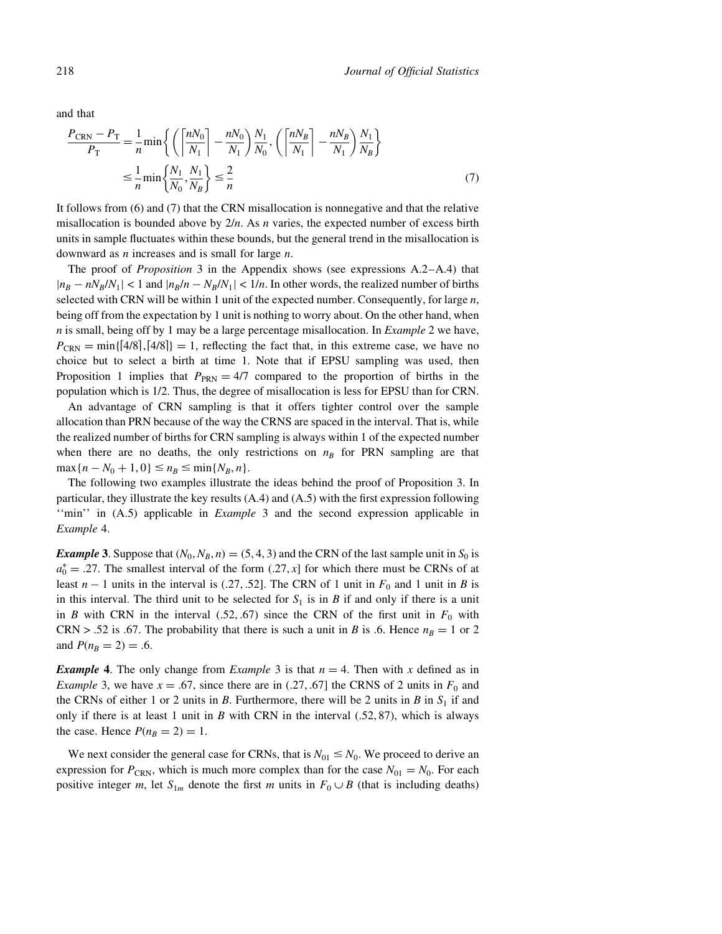and that

$$
\frac{P_{\text{CRN}} - P_{\text{T}}}{P_{\text{T}}} = \frac{1}{n} \min \left\{ \left( \left\lceil \frac{nN_0}{N_1} \right\rceil - \frac{nN_0}{N_1} \right) \frac{N_1}{N_0}, \left( \left\lceil \frac{nN_B}{N_1} \right\rceil - \frac{nN_B}{N_1} \right) \frac{N_1}{N_B} \right\}
$$
\n
$$
\leq \frac{1}{n} \min \left\{ \frac{N_1}{N_0}, \frac{N_1}{N_B} \right\} \leq \frac{2}{n} \tag{7}
$$

It follows from  $(6)$  and  $(7)$  that the CRN misallocation is nonnegative and that the relative misallocation is bounded above by  $2/n$ . As *n* varies, the expected number of excess birth units in sample fluctuates within these bounds, but the general trend in the misallocation is downward as  $n$  increases and is small for large  $n$ .

The proof of *Proposition* 3 in the Appendix shows (see expressions  $A.2-A.4$ ) that  $|n_B - nN_B/N_1|$  < 1 and  $|n_B/n - N_B/N_1|$  < 1/n. In other words, the realized number of births selected with CRN will be within 1 unit of the expected number. Consequently, for large  $n$ , being off from the expectation by 1 unit is nothing to worry about. On the other hand, when  $n$  is small, being off by 1 may be a large percentage misallocation. In *Example* 2 we have,  $P_{\text{CRN}} = \min\{ [4/8], [4/8] \} = 1$ , reflecting the fact that, in this extreme case, we have no choice but to select a birth at time 1. Note that if EPSU sampling was used, then Proposition 1 implies that  $P_{\text{PRN}} = 4/7$  compared to the proportion of births in the population which is 1/2. Thus, the degree of misallocation is less for EPSU than for CRN.

An advantage of CRN sampling is that it offers tighter control over the sample allocation than PRN because of the way the CRNS are spaced in the interval. That is, while the realized number of births for CRN sampling is always within 1 of the expected number when there are no deaths, the only restrictions on  $n<sub>B</sub>$  for PRN sampling are that  $\max\{n - N_0 + 1, 0\} \le n_B \le \min\{N_B, n\}.$ 

The following two examples illustrate the ideas behind the proof of Proposition 3. In particular, they illustrate the key results (A.4) and (A.5) with the first expression following "min" in (A.5) applicable in *Example* 3 and the second expression applicable in Example 4.

*Example* 3. Suppose that  $(N_0, N_B, n) = (5, 4, 3)$  and the CRN of the last sample unit in  $S_0$  is  $a_0^* = .27$ . The smallest interval of the form (.27, x] for which there must be CRNs of at least  $n-1$  units in the interval is (.27, .52). The CRN of 1 unit in  $F_0$  and 1 unit in B is in this interval. The third unit to be selected for  $S_1$  is in B if and only if there is a unit in B with CRN in the interval (.52, .67) since the CRN of the first unit in  $F_0$  with CRN > .52 is .67. The probability that there is such a unit in B is .6. Hence  $n_B = 1$  or 2 and  $P(n_B = 2) = .6$ .

*Example* 4. The only change from *Example* 3 is that  $n = 4$ . Then with x defined as in *Example* 3, we have  $x = .67$ , since there are in (.27, .67) the CRNS of 2 units in  $F_0$  and the CRNs of either 1 or 2 units in B. Furthermore, there will be 2 units in B in  $S_1$  if and only if there is at least 1 unit in B with CRN in the interval  $(.52, 87)$ , which is always the case. Hence  $P(n_B = 2) = 1$ .

We next consider the general case for CRNs, that is  $N_{01} \leq N_0$ . We proceed to derive an expression for  $P_{CRN}$ , which is much more complex than for the case  $N_{01} = N_0$ . For each positive integer m, let  $S_{1m}$  denote the first m units in  $F_0 \cup B$  (that is including deaths)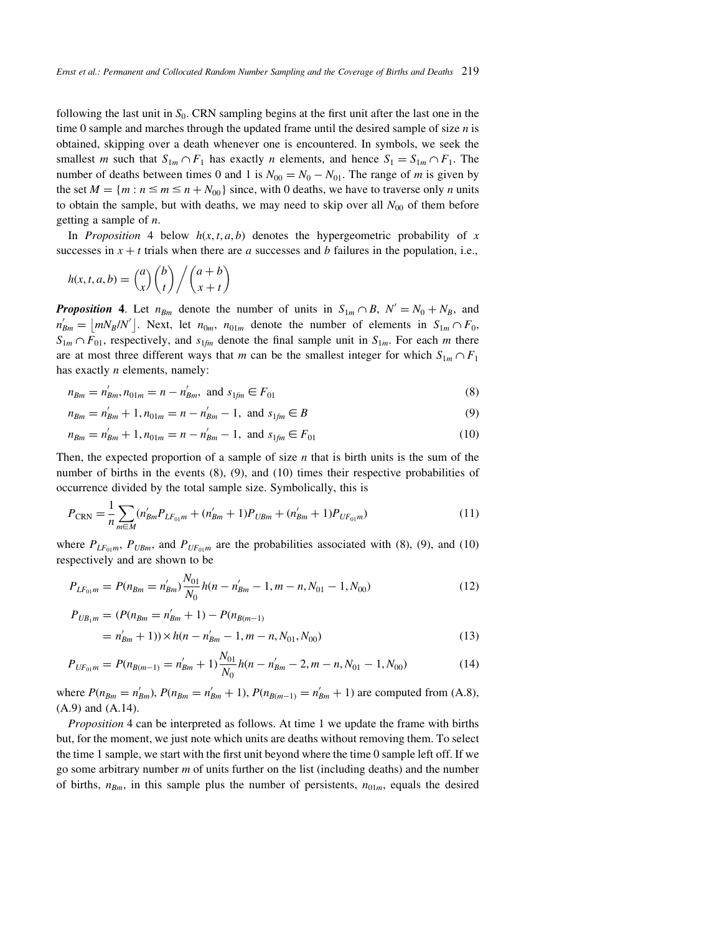following the last unit in  $S_0$ . CRN sampling begins at the first unit after the last one in the time 0 sample and marches through the updated frame until the desired sample of size  $n$  is obtained, skipping over a death whenever one is encountered. In symbols, we seek the smallest *m* such that  $S_{1m} \cap F_1$  has exactly *n* elements, and hence  $S_1 = S_{1m} \cap F_1$ . The number of deaths between times 0 and 1 is  $N_{00} = N_0 - N_{01}$ . The range of m is given by the set  $M = \{m : n \le m \le n + N_{00}\}\$  since, with 0 deaths, we have to traverse only *n* units to obtain the sample, but with deaths, we may need to skip over all  $N_{00}$  of them before getting a sample of  $n$ .

In *Proposition* 4 below  $h(x, t, a, b)$  denotes the hypergeometric probability of x successes in  $x + t$  trials when there are a successes and b failures in the population, i.e.,

$$
h(x, t, a, b) = {a \choose x} {b \choose t} / {a + b \choose x + t}
$$

**Proposition 4.** Let  $n_{Bm}$  denote the number of units in  $S_{1m} \cap B$ ,  $N' = N_0 + N_B$ , and  $n'_{Bm} = |mN_B/N'|$ . Next, let  $n_{0m}$ ,  $n_{01m}$  denote the number of elements in  $S_{1m} \cap F_0$ ,  $S_{1m} \cap F_{01}$ , respectively, and  $s_{1fm}$  denote the final sample unit in  $S_{1m}$ . For each m there are at most three different ways that m can be the smallest integer for which  $S_{1m} \cap F_1$ has exactly  $n$  elements, namely:

$$
n_{Bm} = n'_{Bm}, n_{01m} = n - n'_{Bm}, \text{ and } s_{1fm} \in F_{01}
$$
 (8)

$$
n_{Bm} = n'_{Bm} + 1, n_{01m} = n - n'_{Bm} - 1, \text{ and } s_{1fm} \in B
$$
\n(9)

$$
n_{Bm} = n'_{Bm} + 1, n_{01m} = n - n'_{Bm} - 1, \text{ and } s_{1fm} \in F_{01}
$$
 (10)

Then, the expected proportion of a sample of size *n* that is birth units is the sum of the number of births in the events  $(8)$ ,  $(9)$ , and  $(10)$  times their respective probabilities of occurrence divided by the total sample size. Symbolically, this is

$$
P_{\text{CRN}} = \frac{1}{n} \sum_{m \in M} (n'_{Bm} P_{LF_{01}m} + (n'_{Bm} + 1) P_{UBm} + (n'_{Bm} + 1) P_{UF_{01}m})
$$
(11)

where  $P_{LF_{0},m}$ ,  $P_{UBm}$ , and  $P_{UF_{0},m}$  are the probabilities associated with (8), (9), and (10) respectively and are shown to be

$$
P_{LF_{01}m} = P(n_{Bm} = n'_{Bm}) \frac{N_{01}}{N_0} h(n - n'_{Bm} - 1, m - n, N_{01} - 1, N_{00})
$$
\n(12)

$$
P_{UB_1m} = (P(n_{Bm} = n'_{Bm} + 1) - P(n_{B(m-1)})
$$
  
=  $n'_{Bm} + 1$ )/  $\times$   $h(n - n'_{Bm} - 1, m - n, N_{01}, N_{00})$  (13)

$$
P_{UF_{01}m} = P(n_{B(m-1)} = n'_{Bm} + 1) \frac{N_{01}}{N_0} h(n - n'_{Bm} - 2, m - n, N_{01} - 1, N_{00})
$$
(14)

where  $P(n_{Bm} = n'_{Bm})$ ,  $P(n_{Bm} = n'_{Bm} + 1)$ ,  $P(n_{B(m-1)} = n'_{Bm} + 1)$  are computed from (A.8),  $(A.9)$  and  $(A.14)$ .

*Proposition* 4 can be interpreted as follows. At time 1 we update the frame with births but, for the moment, we just note which units are deaths without removing them. To select the time 1 sample, we start with the first unit beyond where the time 0 sample left off. If we go some arbitrary number  $m$  of units further on the list (including deaths) and the number of births,  $n_{Bm}$ , in this sample plus the number of persistents,  $n_{01m}$ , equals the desired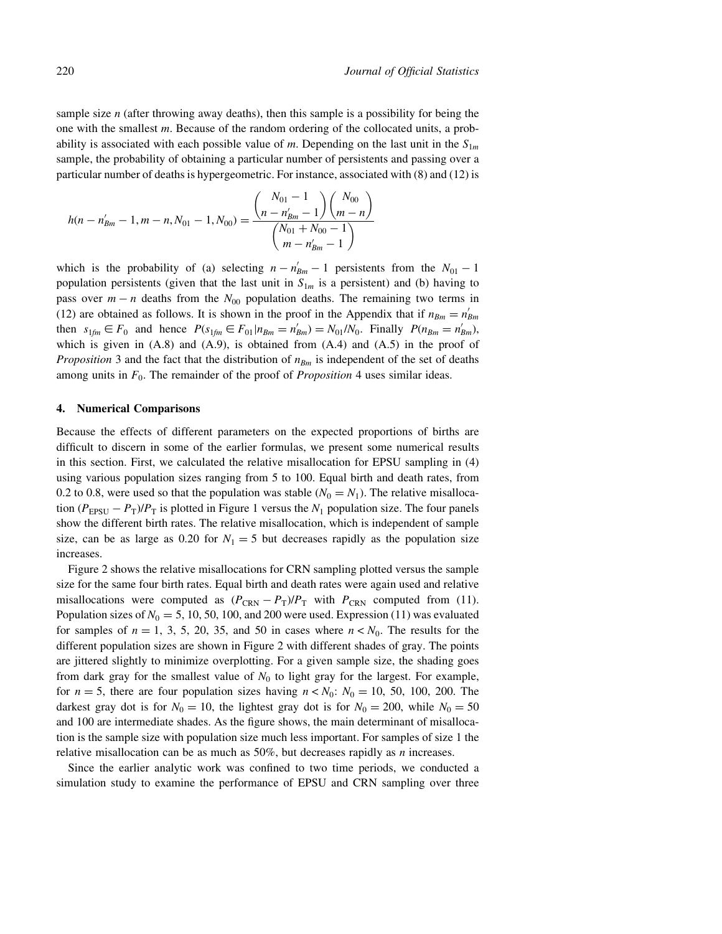sample size  $n$  (after throwing away deaths), then this sample is a possibility for being the one with the smallest  $m$ . Because of the random ordering of the collocated units, a probability is associated with each possible value of m. Depending on the last unit in the  $S_{1m}$ sample, the probability of obtaining a particular number of persistents and passing over a particular number of deaths is hypergeometric. For instance, associated with (8) and (12) is

$$
h(n - n'_{Bm} - 1, m - n, N_{01} - 1, N_{00}) = \frac{\binom{N_{01} - 1}{n - n'_{Bm} - 1} \binom{N_{00}}{m - n}}{\binom{N_{01} + N_{00} - 1}{m - n'_{Bm} - 1}}
$$

which is the probability of (a) selecting  $n - n'_{Bm} - 1$  persistents from the  $N_{01} - 1$ population persistents (given that the last unit in  $S_{1m}$  is a persistent) and (b) having to pass over  $m - n$  deaths from the  $N_{00}$  population deaths. The remaining two terms in (12) are obtained as follows. It is shown in the proof in the Appendix that if  $n_{Bm} = n'_{Bm}$ then  $s_{1fm} \in F_0$  and hence  $P(s_{1fm} \in F_{01} | n_{Bm} = n'_{Bm}) = N_{01}/N_0$ . Finally  $P(n_{Bm} = n'_{Bm})$ , which is given in  $(A.8)$  and  $(A.9)$ , is obtained from  $(A.4)$  and  $(A.5)$  in the proof of *Proposition* 3 and the fact that the distribution of  $n_{Bm}$  is independent of the set of deaths among units in  $F_0$ . The remainder of the proof of *Proposition* 4 uses similar ideas.

#### **Numerical Comparisons** 4.

Because the effects of different parameters on the expected proportions of births are difficult to discern in some of the earlier formulas, we present some numerical results in this section. First, we calculated the relative misallocation for EPSU sampling in (4) using various population sizes ranging from 5 to 100. Equal birth and death rates, from 0.2 to 0.8, were used so that the population was stable  $(N_0 = N_1)$ . The relative misallocation  $(P_{ESU} - P_T)/P_T$  is plotted in Figure 1 versus the  $N_1$  population size. The four panels show the different birth rates. The relative misallocation, which is independent of sample size, can be as large as 0.20 for  $N_1 = 5$  but decreases rapidly as the population size increases.

Figure 2 shows the relative misallocations for CRN sampling plotted versus the sample size for the same four birth rates. Equal birth and death rates were again used and relative misallocations were computed as  $(P_{CRN} - P_T)/P_T$  with  $P_{CRN}$  computed from (11). Population sizes of  $N_0 = 5$ , 10, 50, 100, and 200 were used. Expression (11) was evaluated for samples of  $n = 1, 3, 5, 20, 35,$  and 50 in cases where  $n < N_0$ . The results for the different population sizes are shown in Figure 2 with different shades of gray. The points are jittered slightly to minimize overplotting. For a given sample size, the shading goes from dark gray for the smallest value of  $N_0$  to light gray for the largest. For example, for  $n = 5$ , there are four population sizes having  $n < N_0$ :  $N_0 = 10$ , 50, 100, 200. The darkest gray dot is for  $N_0 = 10$ , the lightest gray dot is for  $N_0 = 200$ , while  $N_0 = 50$ and 100 are intermediate shades. As the figure shows, the main determinant of misallocation is the sample size with population size much less important. For samples of size 1 the relative misallocation can be as much as  $50\%$ , but decreases rapidly as *n* increases.

Since the earlier analytic work was confined to two time periods, we conducted a simulation study to examine the performance of EPSU and CRN sampling over three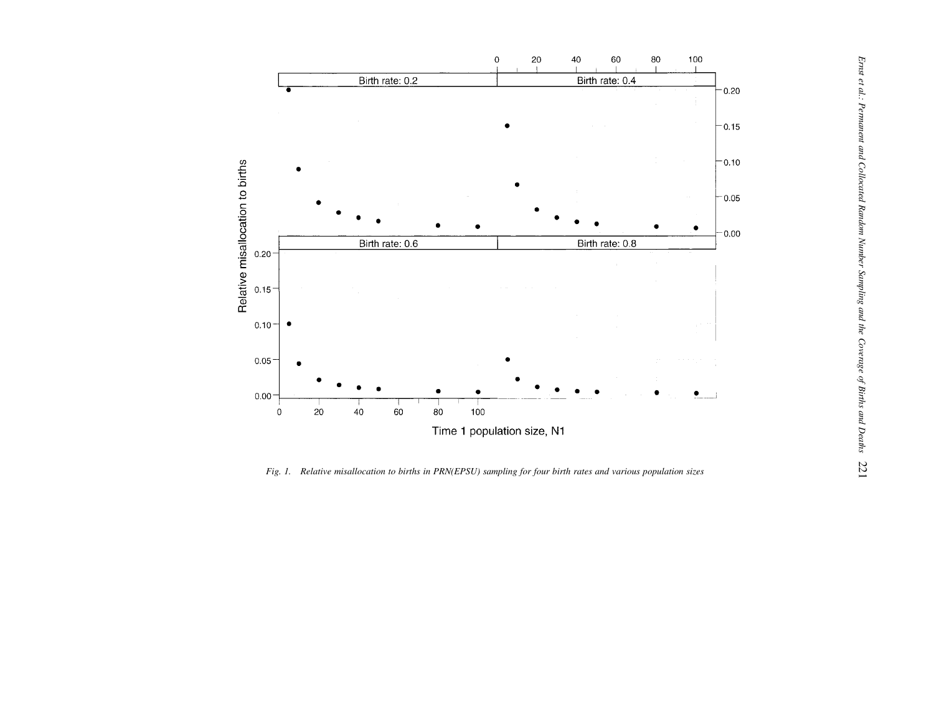

Fig. 1. Relative misallocation to births in PRN(EPSU) sampling for four birth rates and various population sizes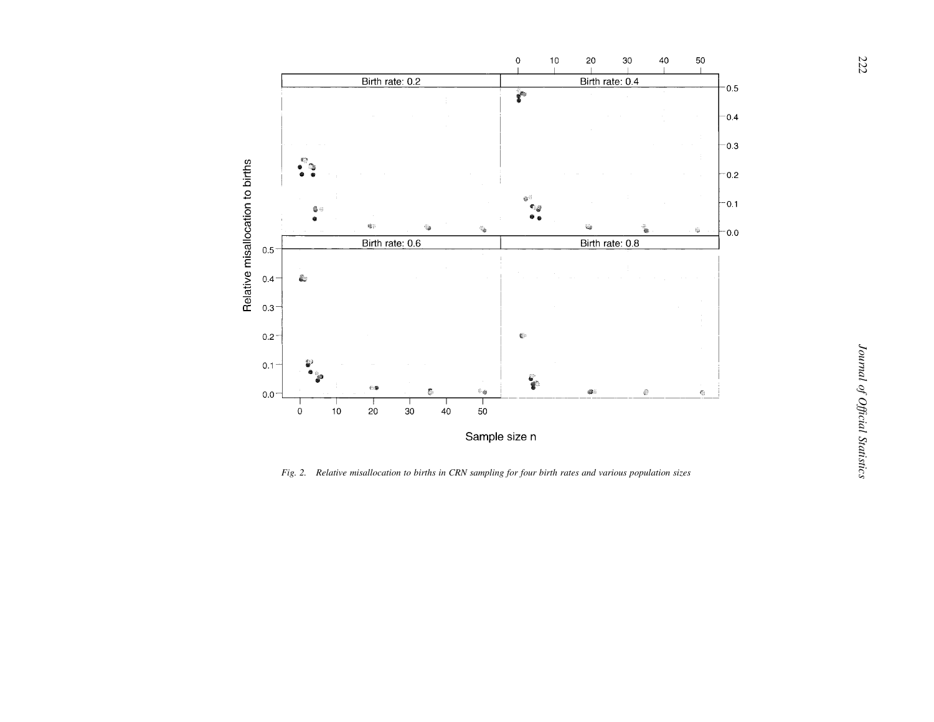

Fig. 2. Relative misallocation to births in CRN sampling for four birth rates and various population sizes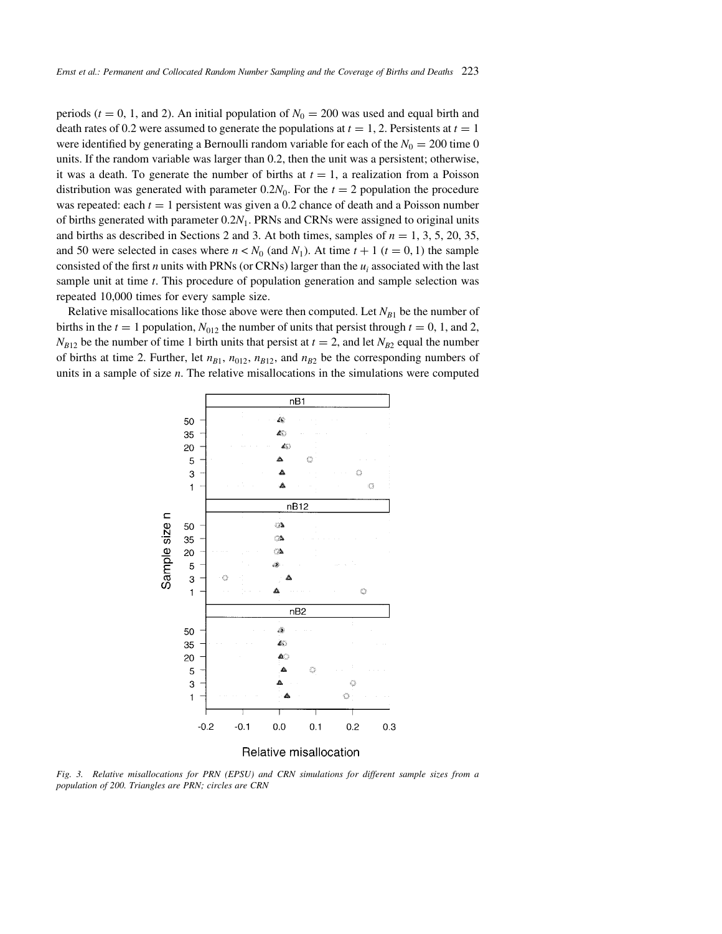periods ( $t = 0$ , 1, and 2). An initial population of  $N_0 = 200$  was used and equal birth and death rates of 0.2 were assumed to generate the populations at  $t = 1, 2$ . Persistents at  $t = 1$ were identified by generating a Bernoulli random variable for each of the  $N_0 = 200$  time 0 units. If the random variable was larger than 0.2, then the unit was a persistent; otherwise, it was a death. To generate the number of births at  $t = 1$ , a realization from a Poisson distribution was generated with parameter 0.2 $N_0$ . For the  $t = 2$  population the procedure was repeated: each  $t = 1$  persistent was given a 0.2 chance of death and a Poisson number of births generated with parameter  $0.2N_1$ . PRNs and CRNs were assigned to original units and births as described in Sections 2 and 3. At both times, samples of  $n = 1, 3, 5, 20, 35$ , and 50 were selected in cases where  $n < N_0$  (and  $N_1$ ). At time  $t + 1$  ( $t = 0, 1$ ) the sample consisted of the first *n* units with PRNs (or CRNs) larger than the  $u_i$  associated with the last sample unit at time  $t$ . This procedure of population generation and sample selection was repeated 10,000 times for every sample size.

Relative misallocations like those above were then computed. Let  $N_{B1}$  be the number of births in the  $t = 1$  population,  $N_{012}$  the number of units that persist through  $t = 0, 1$ , and 2,  $N_{B12}$  be the number of time 1 birth units that persist at  $t = 2$ , and let  $N_{B2}$  equal the number of births at time 2. Further, let  $n_{B1}$ ,  $n_{012}$ ,  $n_{B12}$ , and  $n_{B2}$  be the corresponding numbers of units in a sample of size *n*. The relative misallocations in the simulations were computed



Fig. 3. Relative misallocations for PRN (EPSU) and CRN simulations for different sample sizes from a population of 200. Triangles are PRN; circles are CRN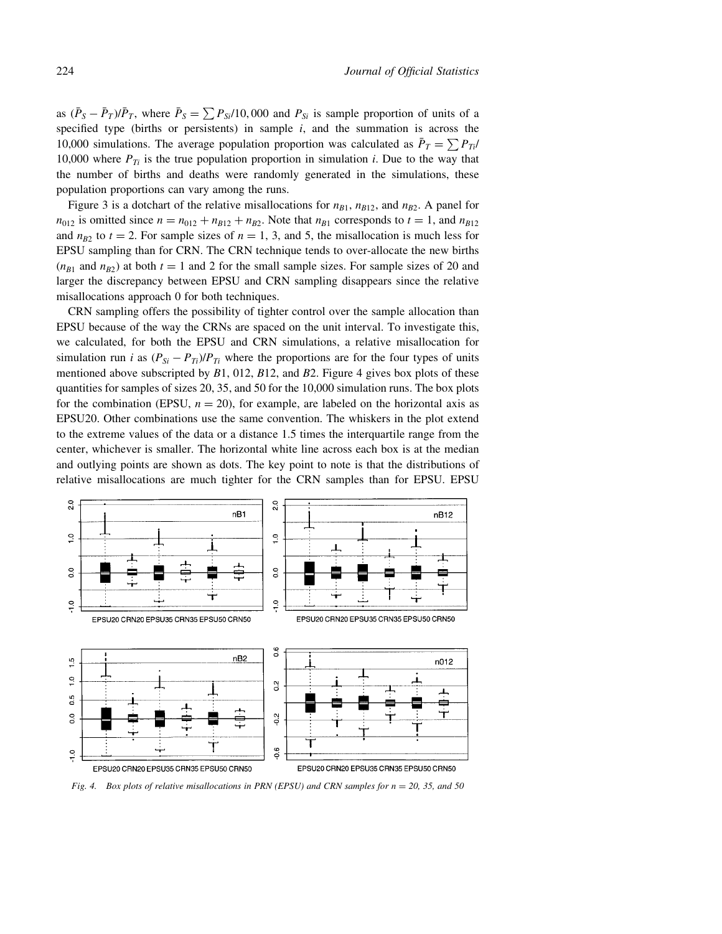as  $(\bar{P}_s - \bar{P}_T)/\bar{P}_T$ , where  $\bar{P}_s = \sum P_{si}/10,000$  and  $P_{si}$  is sample proportion of units of a specified type (births or persistents) in sample  $i$ , and the summation is across the 10,000 simulations. The average population proportion was calculated as  $\bar{P}_T = \sum P_{Ti}$ 10,000 where  $P_{Ti}$  is the true population proportion in simulation *i*. Due to the way that the number of births and deaths were randomly generated in the simulations, these population proportions can vary among the runs.

Figure 3 is a dotchart of the relative misallocations for  $n_{B1}$ ,  $n_{B12}$ , and  $n_{B2}$ . A panel for  $n_{012}$  is omitted since  $n = n_{012} + n_{B12} + n_{B2}$ . Note that  $n_{B1}$  corresponds to  $t = 1$ , and  $n_{B12}$ and  $n_{B2}$  to  $t = 2$ . For sample sizes of  $n = 1, 3$ , and 5, the misallocation is much less for EPSU sampling than for CRN. The CRN technique tends to over-allocate the new births  $(n_{B1}$  and  $n_{B2})$  at both  $t = 1$  and 2 for the small sample sizes. For sample sizes of 20 and larger the discrepancy between EPSU and CRN sampling disappears since the relative misallocations approach 0 for both techniques.

CRN sampling offers the possibility of tighter control over the sample allocation than EPSU because of the way the CRNs are spaced on the unit interval. To investigate this, we calculated, for both the EPSU and CRN simulations, a relative misallocation for simulation run *i* as  $(P_{Si} - P_{Ti})/P_{Ti}$  where the proportions are for the four types of units mentioned above subscripted by  $B1$ , 012,  $B12$ , and  $B2$ . Figure 4 gives box plots of these quantities for samples of sizes 20, 35, and 50 for the 10,000 simulation runs. The box plots for the combination (EPSU,  $n = 20$ ), for example, are labeled on the horizontal axis as EPSU20. Other combinations use the same convention. The whiskers in the plot extend to the extreme values of the data or a distance 1.5 times the interquartile range from the center, whichever is smaller. The horizontal white line across each box is at the median and outlying points are shown as dots. The key point to note is that the distributions of relative misallocations are much tighter for the CRN samples than for EPSU. EPSU



Fig. 4. Box plots of relative misallocations in PRN (EPSU) and CRN samples for  $n = 20, 35,$  and 50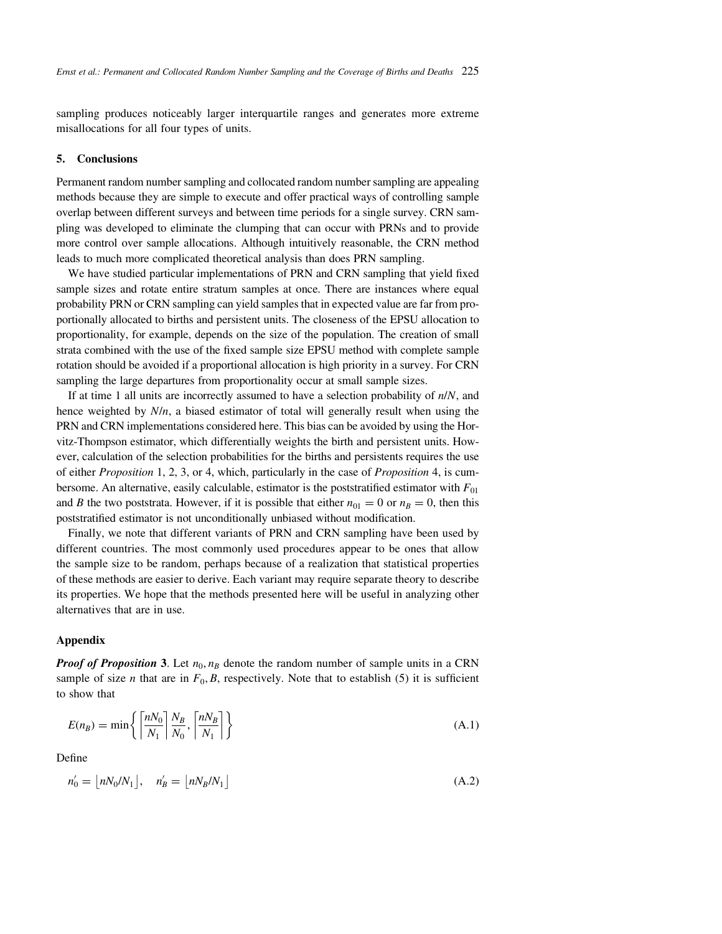sampling produces noticeably larger interquartile ranges and generates more extreme misallocations for all four types of units.

#### **Conclusions** 5.

Permanent random number sampling and collocated random number sampling are appealing methods because they are simple to execute and offer practical ways of controlling sample overlap between different surveys and between time periods for a single survey. CRN sampling was developed to eliminate the clumping that can occur with PRNs and to provide more control over sample allocations. Although intuitively reasonable, the CRN method leads to much more complicated theoretical analysis than does PRN sampling.

We have studied particular implementations of PRN and CRN sampling that yield fixed sample sizes and rotate entire stratum samples at once. There are instances where equal probability PRN or CRN sampling can yield samples that in expected value are far from proportionally allocated to births and persistent units. The closeness of the EPSU allocation to proportionality, for example, depends on the size of the population. The creation of small strata combined with the use of the fixed sample size EPSU method with complete sample rotation should be avoided if a proportional allocation is high priority in a survey. For CRN sampling the large departures from proportionality occur at small sample sizes.

If at time 1 all units are incorrectly assumed to have a selection probability of  $n/N$ , and hence weighted by  $N/n$ , a biased estimator of total will generally result when using the PRN and CRN implementations considered here. This bias can be avoided by using the Horvitz-Thompson estimator, which differentially weights the birth and persistent units. However, calculation of the selection probabilities for the births and persistents requires the use of either *Proposition* 1, 2, 3, or 4, which, particularly in the case of *Proposition* 4, is cumbersome. An alternative, easily calculable, estimator is the poststratified estimator with  $F_{01}$ and B the two poststrata. However, if it is possible that either  $n_{01} = 0$  or  $n_B = 0$ , then this poststratified estimator is not unconditionally unbiased without modification.

Finally, we note that different variants of PRN and CRN sampling have been used by different countries. The most commonly used procedures appear to be ones that allow the sample size to be random, perhaps because of a realization that statistical properties of these methods are easier to derive. Each variant may require separate theory to describe its properties. We hope that the methods presented here will be useful in analyzing other alternatives that are in use.

### **Appendix**

**Proof of Proposition 3.** Let  $n_0$ ,  $n_B$  denote the random number of sample units in a CRN sample of size *n* that are in  $F_0$ , *B*, respectively. Note that to establish (5) it is sufficient to show that

$$
E(n_B) = \min\left\{ \left[ \frac{nN_0}{N_1} \right] \frac{N_B}{N_0}, \left[ \frac{nN_B}{N_1} \right] \right\}
$$
 (A.1)

Define

$$
n'_0 = \left\lfloor nN_0/N_1 \right\rfloor, \quad n'_B = \left\lfloor nN_B/N_1 \right\rfloor \tag{A.2}
$$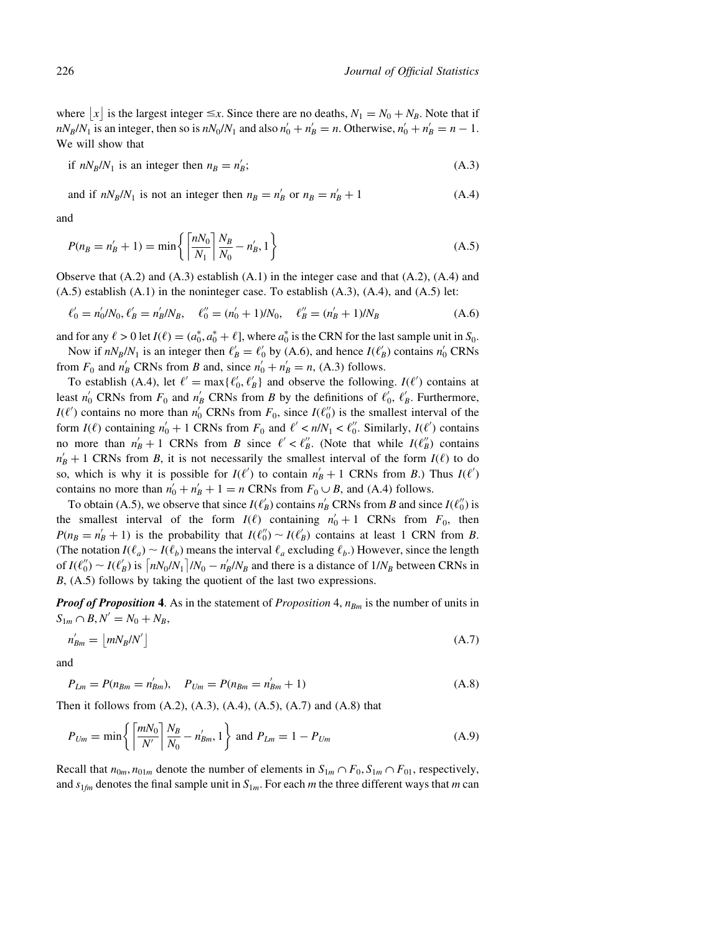where  $|x|$  is the largest integer  $\leq x$ . Since there are no deaths,  $N_1 = N_0 + N_B$ . Note that if  $nN_B/N_1$  is an integer, then so is  $nN_0/N_1$  and also  $n'_0 + n'_B = n$ . Otherwise,  $n'_0 + n'_B = n - 1$ . We will show that

if 
$$
nN_B/N_1
$$
 is an integer then  $n_B = n'_B$ ; 
$$
(A.3)
$$

and if 
$$
nN_B/N_1
$$
 is not an integer then  $n_B = n'_B$  or  $n_B = n'_B + 1$  (A.4)

and

$$
P(n_B = n'_B + 1) = \min\left\{ \left[ \frac{nN_0}{N_1} \right] \frac{N_B}{N_0} - n'_B, 1 \right\}
$$
 (A.5)

Observe that  $(A.2)$  and  $(A.3)$  establish  $(A.1)$  in the integer case and that  $(A.2)$ ,  $(A.4)$  and  $(A.5)$  establish  $(A.1)$  in the noninteger case. To establish  $(A.3)$ ,  $(A.4)$ , and  $(A.5)$  let:

$$
\ell'_0 = n'_0/N_0, \ell'_B = n'_B/N_B, \quad \ell''_0 = (n'_0 + 1)/N_0, \quad \ell''_B = (n'_B + 1)/N_B
$$
\n(A.6)

and for any  $\ell > 0$  let  $I(\ell) = (a_0^*, a_0^* + \ell]$ , where  $a_0^*$  is the CRN for the last sample unit in  $S_0$ . Now if  $nN_B/N_1$  is an integer then  $\ell'_B = \ell'_0$  by (A.6), and hence  $I(\ell'_B)$  contains  $n'_0$  CRNs

from  $F_0$  and  $n'_B$  CRNs from B and, since  $n'_0 + n'_B = n$ , (A.3) follows.

To establish (A.4), let  $\ell' = \max{\{\ell'_0, \ell'_B\}}$  and observe the following.  $I(\ell')$  contains at least  $n'_0$  CRNs from  $F_0$  and  $n'_B$  CRNs from B by the definitions of  $\ell'_0$ ,  $\ell'_B$ . Furthermore,  $I(\ell')$  contains no more than  $n'_0$  CRNs from  $F_0$ , since  $I(\ell''_0)$  is the smallest interval of the form  $I(\ell)$  containing  $n'_0 + 1$  CRNs from  $F_0$  and  $\ell' < n/N_1 < \ell''_0$ . Similarly,  $I(\ell')$  contains no more than  $n'_B + 1$  CRNs from B since  $\ell' < \ell''_B$ . (Note that while  $I(\ell''_B)$  contains  $n'_B + 1$  CRNs from B, it is not necessarily the smallest interval of the form  $I(\ell)$  to do so, which is why it is possible for  $I(\ell')$  to contain  $n'_B + 1$  CRNs from B.) Thus  $I(\ell')$ contains no more than  $n'_0 + n'_B + 1 = n$  CRNs from  $F_0 \cup B$ , and (A.4) follows.

To obtain (A.5), we observe that since  $I(\ell'_{B})$  contains  $n'_{B}$  CRNs from B and since  $I(\ell''_{0})$  is the smallest interval of the form  $I(\ell)$  containing  $n'_0 + 1$  CRNs from  $F_0$ , then  $P(n_B = n'_B + 1)$  is the probability that  $I(\ell_0'') \sim I(\ell_B')$  contains at least 1 CRN from B. (The notation  $I(\ell_a) \sim I(\ell_b)$ ) means the interval  $\ell_a$  excluding  $\ell_b$ .) However, since the length of  $I(\ell_0'') \sim I(\ell_B')$  is  $\lceil n N_0/N_1 \rceil / N_0 - n'_B/N_B$  and there is a distance of  $1/N_B$  between CRNs in  $B$ , (A.5) follows by taking the quotient of the last two expressions.

**Proof of Proposition 4.** As in the statement of *Proposition* 4,  $n_{Bm}$  is the number of units in  $S_{1m} \cap B, N' = N_0 + N_B,$ 

$$
n'_{Bm} = \lfloor mN_B/N' \rfloor \tag{A.7}
$$

and

$$
P_{Lm} = P(n_{Bm} = n'_{Bm}), \quad P_{Um} = P(n_{Bm} = n'_{Bm} + 1)
$$
\n(A.8)

Then it follows from  $(A.2)$ ,  $(A.3)$ ,  $(A.4)$ ,  $(A.5)$ ,  $(A.7)$  and  $(A.8)$  that

$$
P_{Um} = \min\left\{ \left[ \frac{mN_0}{N'} \right] \frac{N_B}{N_0} - n'_{Bm}, 1 \right\} \text{ and } P_{Lm} = 1 - P_{Um} \tag{A.9}
$$

Recall that  $n_{0m}$ ,  $n_{01m}$  denote the number of elements in  $S_{1m} \cap F_0$ ,  $S_{1m} \cap F_{01}$ , respectively, and  $s_{1fm}$  denotes the final sample unit in  $S_{1m}$ . For each m the three different ways that m can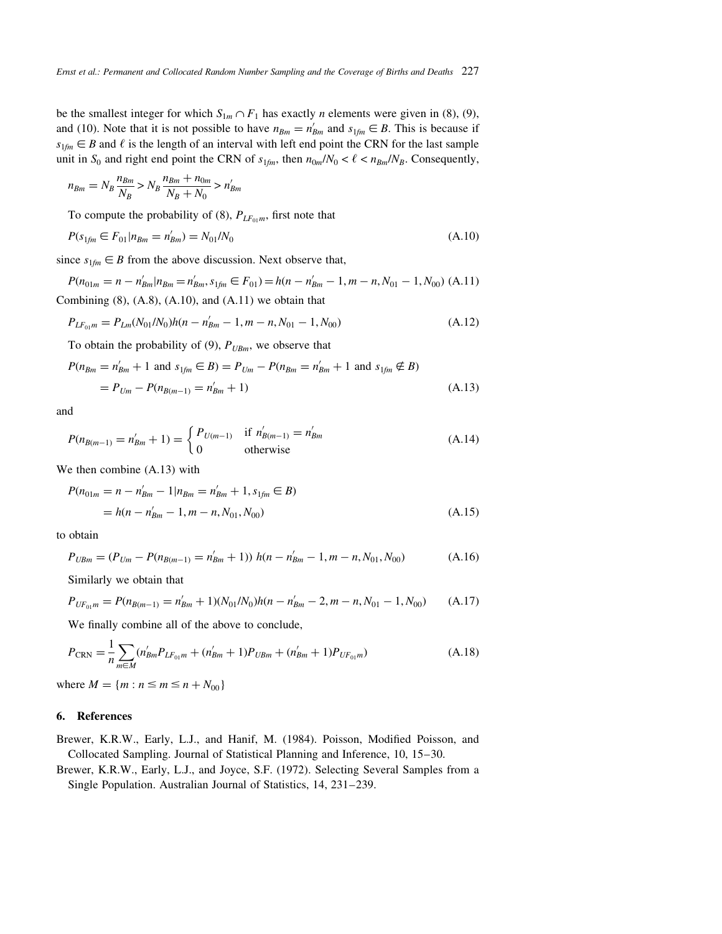be the smallest integer for which  $S_{1m} \cap F_1$  has exactly *n* elements were given in (8), (9), and (10). Note that it is not possible to have  $n_{Bm} = n'_{Bm}$  and  $s_{1fm} \in B$ . This is because if  $s_{1\text{fm}} \in B$  and  $\ell$  is the length of an interval with left end point the CRN for the last sample unit in S<sub>0</sub> and right end point the CRN of  $s_{1fm}$ , then  $n_{0m}/N_0 < \ell < n_{Bm}/N_B$ . Consequently,

$$
n_{Bm} = N_B \frac{n_{Bm}}{N_B} > N_B \frac{n_{Bm} + n_{0m}}{N_B + N_0} > n'_{Bm}
$$

To compute the probability of (8),  $P_{LF_{01}m}$ , first note that

$$
P(s_{1fm} \in F_{01} | n_{Bm} = n'_{Bm}) = N_{01}/N_0 \tag{A.10}
$$

since  $s_{1fm} \in B$  from the above discussion. Next observe that,

 $P(n_{01m} = n - n'_{Bm} | n_{Bm} = n'_{Bm}, s_{1fm} \in F_{01}) = h(n - n'_{Bm} - 1, m - n, N_{01} - 1, N_{00})$  (A.11)

Combining  $(8)$ ,  $(A.8)$ ,  $(A.10)$ , and  $(A.11)$  we obtain that

$$
P_{LF_{01}m} = P_{Lm}(N_{01}/N_0)h(n - n'_{Bm} - 1, m - n, N_{01} - 1, N_{00})
$$
\n(A.12)

To obtain the probability of (9),  $P_{UBm}$ , we observe that

$$
P(n_{Bm} = n'_{Bm} + 1 \text{ and } s_{1fm} \in B) = P_{Um} - P(n_{Bm} = n'_{Bm} + 1 \text{ and } s_{1fm} \notin B)
$$
  
=  $P_{Um} - P(n_{B(m-1)} = n'_{Bm} + 1)$  (A.13)

and

$$
P(n_{B(m-1)} = n'_{Bm} + 1) = \begin{cases} P_{U(m-1)} & \text{if } n'_{B(m-1)} = n'_{Bm} \\ 0 & \text{otherwise} \end{cases}
$$
(A.14)

We then combine  $(A.13)$  with

$$
P(n_{01m} = n - n'_{Bm} - 1 | n_{Bm} = n'_{Bm} + 1, s_{1fm} \in B)
$$
  
=  $h(n - n'_{Bm} - 1, m - n, N_{01}, N_{00})$  (A.15)

to obtain

$$
P_{UBm} = (P_{Um} - P(n_{B(m-1)} = n'_{Bm} + 1)) h(n - n'_{Bm} - 1, m - n, N_{01}, N_{00})
$$
(A.16)

Similarly we obtain that

$$
P_{UF_{01}m} = P(n_{B(m-1)} = n'_{Bm} + 1)(N_{01}/N_0)h(n - n'_{Bm} - 2, m - n, N_{01} - 1, N_{00})
$$
 (A.17)

We finally combine all of the above to conclude,

$$
P_{\text{CRN}} = \frac{1}{n} \sum_{m \in M} (n'_{Bm} P_{LF_{01}m} + (n'_{Bm} + 1) P_{UBm} + (n'_{Bm} + 1) P_{UF_{01}m})
$$
(A.18)

where  $M = \{m : n \le m \le n + N_{00}\}\$ 

## 6. References

Brewer, K.R.W., Early, L.J., and Hanif, M. (1984). Poisson, Modified Poisson, and Collocated Sampling. Journal of Statistical Planning and Inference, 10, 15–30.

Brewer, K.R.W., Early, L.J., and Joyce, S.F. (1972). Selecting Several Samples from a Single Population. Australian Journal of Statistics, 14, 231-239.